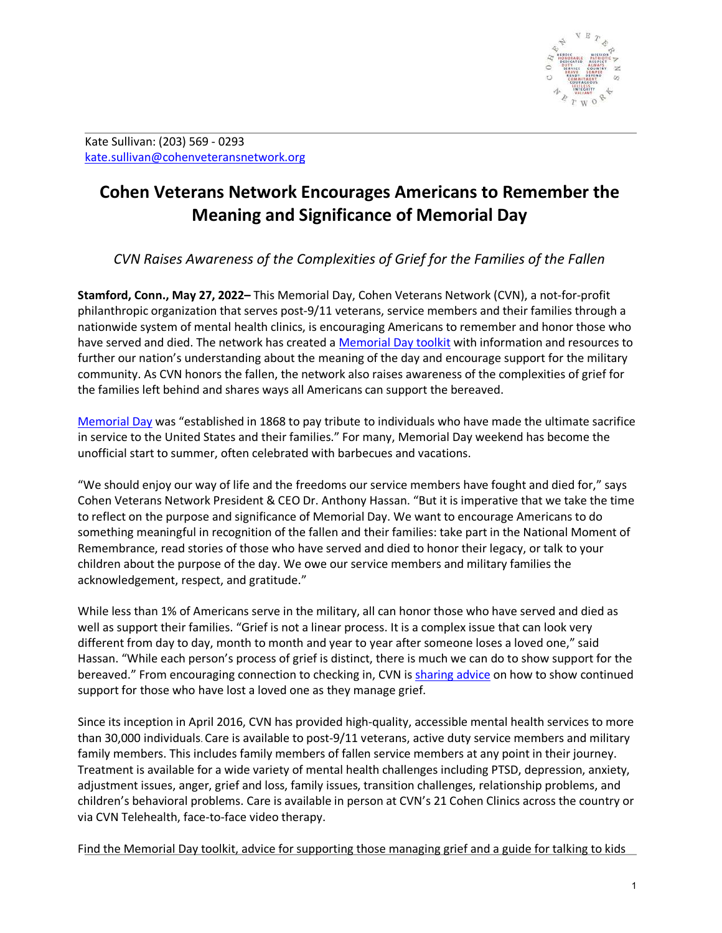

Kate Sullivan: (203) 569 - 0293 [kate.sullivan@cohenveteransnetwork.org](mailto:kate.sullivan@cohenveteransnetwork.org)

## **Cohen Veterans Network Encourages Americans to Remember the Meaning and Significance of Memorial Day**

*CVN Raises Awareness of the Complexities of Grief for the Families of the Fallen*

**Stamford, Conn., May 27, 2022–** This Memorial Day, Cohen Veterans Network (CVN), a not-for-profit philanthropic organization that serves post-9/11 veterans, service members and their families through a nationwide system of mental health clinics, is encouraging Americans to remember and honor those who have served and died. The network has created a [Memorial Day toolkit](https://www.cohenveteransnetwork.org/memorialday/) with information and resources to further our nation's understanding about the meaning of the day and encourage support for the military community. As CVN honors the fallen, the network also raises awareness of the complexities of grief for the families left behind and shares ways all Americans can support the bereaved.

[Memorial Day](https://www.congress.gov/106/plaws/publ579/PLAW-106publ579.pdf) was "established in 1868 to pay tribute to individuals who have made the ultimate sacrifice in service to the United States and their families." For many, Memorial Day weekend has become the unofficial start to summer, often celebrated with barbecues and vacations.

"We should enjoy our way of life and the freedoms our service members have fought and died for," says Cohen Veterans Network President & CEO Dr. Anthony Hassan. "But it is imperative that we take the time to reflect on the purpose and significance of Memorial Day. We want to encourage Americans to do something meaningful in recognition of the fallen and their families: take part in the National Moment of Remembrance, read stories of those who have served and died to honor their legacy, or talk to your children about the purpose of the day. We owe our service members and military families the acknowledgement, respect, and gratitude."

While less than 1% of Americans serve in the military, all can honor those who have served and died as well as support their families. "Grief is not a linear process. It is a complex issue that can look very different from day to day, month to month and year to year after someone loses a loved one," said Hassan. "While each person's process of grief is distinct, there is much we can do to show support for the bereaved." From encouraging connection to checking in, CVN is [sharing advice](https://www.cohenveteransnetwork.org/memorialday/) on how to show continued support for those who have lost a loved one as they manage grief.

Since its inception in April 2016, CVN has provided high-quality, accessible mental health services to more than 30,000 individuals. Care is available to post-9/11 veterans, active duty service members and military family members. This includes family members of fallen service members at any point in their journey. Treatment is available for a wide variety of mental health challenges including PTSD, depression, anxiety, adjustment issues, anger, grief and loss, family issues, transition challenges, relationship problems, and children's behavioral problems. Care is available in person at CVN's 21 Cohen Clinics across the country or via CVN Telehealth, face-to-face video therapy.

Find the Memorial Day toolkit, advice for supporting those managing grief and a guide for talking to kids